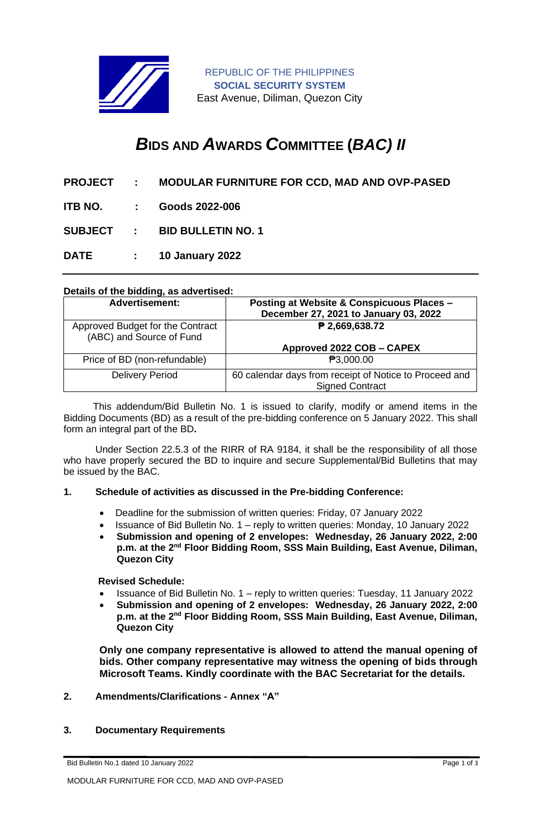

REPUBLIC OF THE PHILIPPINES **SOCIAL SECURITY SYSTEM** East Avenue, Diliman, Quezon City

# *B***IDS AND** *A***WARDS** *C***OMMITTEE (***BAC) II*

- **PROJECT : MODULAR FURNITURE FOR CCD, MAD AND OVP-PASED**
- **ITB NO. : Goods 2022-006**

**SUBJECT : BID BULLETIN NO. 1**

**DATE : 10 January 2022**

# **Details of the bidding, as advertised:**

| <b>Advertisement:</b>                                        | Posting at Website & Conspicuous Places -<br>December 27, 2021 to January 03, 2022 |
|--------------------------------------------------------------|------------------------------------------------------------------------------------|
| Approved Budget for the Contract<br>(ABC) and Source of Fund | ₱ 2,669,638.72                                                                     |
|                                                              | Approved 2022 COB - CAPEX                                                          |
| Price of BD (non-refundable)                                 | ₱3,000.00                                                                          |
| <b>Delivery Period</b>                                       | 60 calendar days from receipt of Notice to Proceed and<br><b>Signed Contract</b>   |

 This addendum/Bid Bulletin No. 1 is issued to clarify, modify or amend items in the Bidding Documents (BD) as a result of the pre-bidding conference on 5 January 2022. This shall form an integral part of the BD**.**

Under Section 22.5.3 of the RIRR of RA 9184, it shall be the responsibility of all those who have properly secured the BD to inquire and secure Supplemental/Bid Bulletins that may be issued by the BAC.

## **1. Schedule of activities as discussed in the Pre-bidding Conference:**

- Deadline for the submission of written queries: Friday, 07 January 2022
- Issuance of Bid Bulletin No. 1 reply to written queries: Monday, 10 January 2022
- **Submission and opening of 2 envelopes: Wednesday, 26 January 2022, 2:00**  p.m. at the 2<sup>nd</sup> Floor Bidding Room, SSS Main Building, East Avenue, Diliman, **Quezon City**

**Revised Schedule:** 

- Issuance of Bid Bulletin No. 1 reply to written queries: Tuesday, 11 January 2022
- **Submission and opening of 2 envelopes: Wednesday, 26 January 2022, 2:00**  p.m. at the 2<sup>nd</sup> Floor Bidding Room, SSS Main Building, East Avenue, Diliman, **Quezon City**

**Only one company representative is allowed to attend the manual opening of bids. Other company representative may witness the opening of bids through Microsoft Teams. Kindly coordinate with the BAC Secretariat for the details.**

## **2. Amendments/Clarifications - Annex "A"**

#### **3. Documentary Requirements**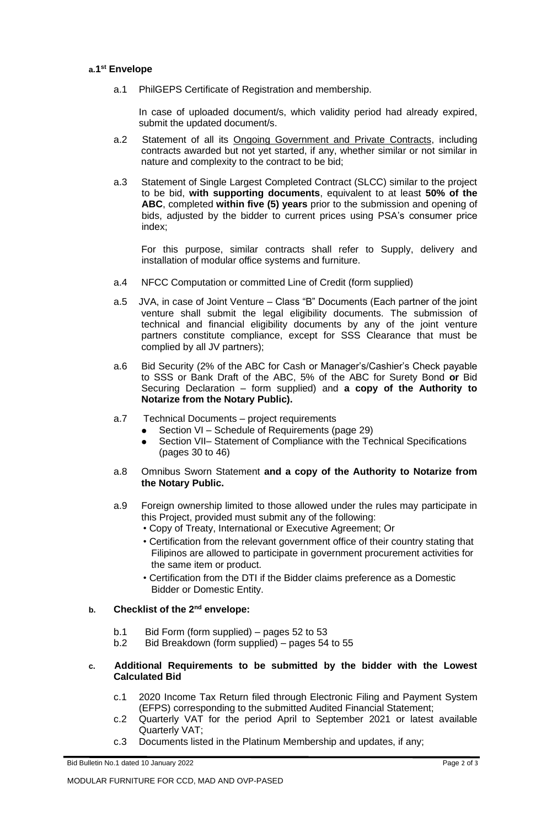#### **a.1 st Envelope**

a.1 PhilGEPS Certificate of Registration and membership.

In case of uploaded document/s, which validity period had already expired, submit the updated document/s.

- a.2 Statement of all its Ongoing Government and Private Contracts, including contracts awarded but not yet started, if any, whether similar or not similar in nature and complexity to the contract to be bid;
- a.3 Statement of Single Largest Completed Contract (SLCC) similar to the project to be bid, **with supporting documents**, equivalent to at least **50% of the ABC**, completed **within five (5) years** prior to the submission and opening of bids, adjusted by the bidder to current prices using PSA's consumer price index;

For this purpose, similar contracts shall refer to Supply, delivery and installation of modular office systems and furniture.

- a.4 NFCC Computation or committed Line of Credit (form supplied)
- a.5 JVA, in case of Joint Venture Class "B" Documents (Each partner of the joint venture shall submit the legal eligibility documents. The submission of technical and financial eligibility documents by any of the joint venture partners constitute compliance, except for SSS Clearance that must be complied by all JV partners);
- a.6 Bid Security (2% of the ABC for Cash or Manager's/Cashier's Check payable to SSS or Bank Draft of the ABC, 5% of the ABC for Surety Bond **or** Bid Securing Declaration – form supplied) and **a copy of the Authority to Notarize from the Notary Public).**
- a.7 Technical Documents project requirements
	- Section VI Schedule of Requirements (page 29)
	- ⚫ Section VII– Statement of Compliance with the Technical Specifications (pages 30 to 46)
- a.8 Omnibus Sworn Statement **and a copy of the Authority to Notarize from the Notary Public.**
- a.9 Foreign ownership limited to those allowed under the rules may participate in this Project, provided must submit any of the following:
	- Copy of Treaty, International or Executive Agreement; Or
	- Certification from the relevant government office of their country stating that Filipinos are allowed to participate in government procurement activities for the same item or product.
	- Certification from the DTI if the Bidder claims preference as a Domestic Bidder or Domestic Entity.

# **b. Checklist of the 2nd envelope:**

- b.1 Bid Form (form supplied) pages 52 to 53
- b.2 Bid Breakdown (form supplied) pages 54 to 55

## **c. Additional Requirements to be submitted by the bidder with the Lowest Calculated Bid**

- c.1 2020 Income Tax Return filed through Electronic Filing and Payment System (EFPS) corresponding to the submitted Audited Financial Statement;
- c.2 Quarterly VAT for the period April to September 2021 or latest available Quarterly VAT;
- c.3 Documents listed in the Platinum Membership and updates, if any;